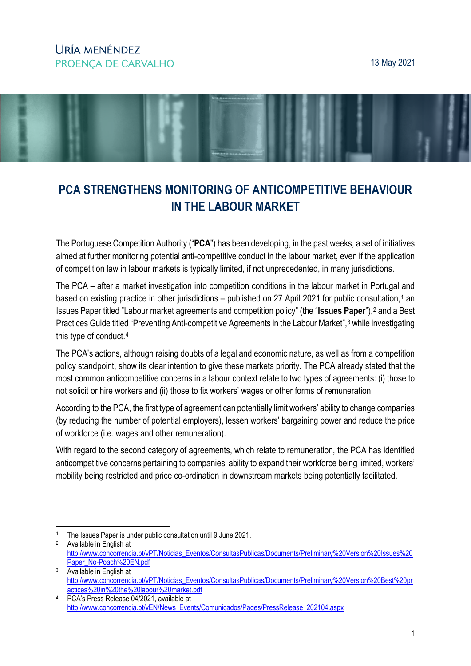## LIRÍA MENÉNDEZ PROENCA DE CARVALHO

#### 13 May 2021



# **PCA STRENGTHENS MONITORING OF ANTICOMPETITIVE BEHAVIOUR IN THE LABOUR MARKET**

The Portuguese Competition Authority ("**PCA**") has been developing, in the past weeks, a set of initiatives aimed at further monitoring potential anti-competitive conduct in the labour market, even if the application of competition law in labour markets is typically limited, if not unprecedented, in many jurisdictions.

The PCA – after a market investigation into competition conditions in the labour market in Portugal and based on existing practice in other jurisdictions – published on 27 April 202[1](#page-0-0) for public consultation,<sup>1</sup> an Issues Paper titled "Labour market agreements and competition policy" (the "**Issues Paper**"),[2](#page-0-1) and a Best Practices Guide titled "Preventing Anti-competitive Agreements in the Labour Market",<sup>[3](#page-0-2)</sup> while investigating this type of conduct.[4](#page-0-3)

The PCA's actions, although raising doubts of a legal and economic nature, as well as from a competition policy standpoint, show its clear intention to give these markets priority. The PCA already stated that the most common anticompetitive concerns in a labour context relate to two types of agreements: (i) those to not solicit or hire workers and (ii) those to fix workers' wages or other forms of remuneration.

According to the PCA, the first type of agreement can potentially limit workers' ability to change companies (by reducing the number of potential employers), lessen workers' bargaining power and reduce the price of workforce (i.e. wages and other remuneration).

With regard to the second category of agreements, which relate to remuneration, the PCA has identified anticompetitive concerns pertaining to companies' ability to expand their workforce being limited, workers' mobility being restricted and price co-ordination in downstream markets being potentially facilitated.

<span id="page-0-0"></span> <sup>1</sup> The Issues Paper is under public consultation until 9 June 2021.

<span id="page-0-1"></span><sup>2</sup> Available in English at [http://www.concorrencia.pt/vPT/Noticias\\_Eventos/ConsultasPublicas/Documents/Preliminary%20Version%20Issues%20](http://www.concorrencia.pt/vPT/Noticias_Eventos/ConsultasPublicas/Documents/Preliminary%20Version%20Issues%20Paper_No-Poach%20EN.pdf) [Paper\\_No-Poach%20EN.pdf](http://www.concorrencia.pt/vPT/Noticias_Eventos/ConsultasPublicas/Documents/Preliminary%20Version%20Issues%20Paper_No-Poach%20EN.pdf)

<span id="page-0-2"></span><sup>3</sup> Available in English at [http://www.concorrencia.pt/vPT/Noticias\\_Eventos/ConsultasPublicas/Documents/Preliminary%20Version%20Best%20pr](http://www.concorrencia.pt/vPT/Noticias_Eventos/ConsultasPublicas/Documents/Preliminary%20Version%20Best%20practices%20in%20the%20labour%20market.pdf) [actices%20in%20the%20labour%20market.pdf](http://www.concorrencia.pt/vPT/Noticias_Eventos/ConsultasPublicas/Documents/Preliminary%20Version%20Best%20practices%20in%20the%20labour%20market.pdf)

<span id="page-0-3"></span><sup>4</sup> PCA's Press Release 04/2021, available at [http://www.concorrencia.pt/vEN/News\\_Events/Comunicados/Pages/PressRelease\\_202104.aspx](http://www.concorrencia.pt/vEN/News_Events/Comunicados/Pages/PressRelease_202104.aspx)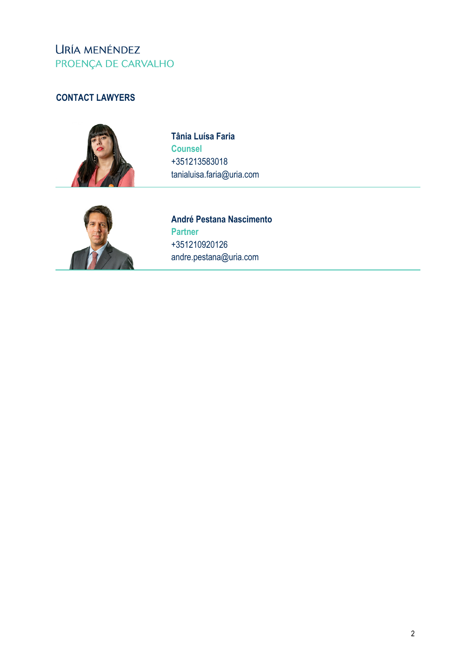## URÍA MENÉNDEZ PROENÇA DE CARVALHO

### **CONTACT LAWYERS**



**Tânia Luísa Faria Counsel** +351213583018 tanialuisa.faria@uria.com



**André Pestana Nascimento Partner** +351210920126 andre.pestana@uria.com